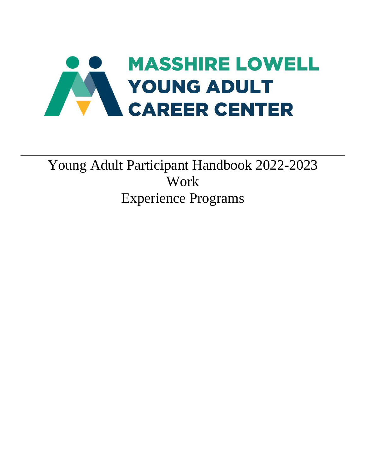

# Young Adult Participant Handbook 2022-2023 Work Experience Programs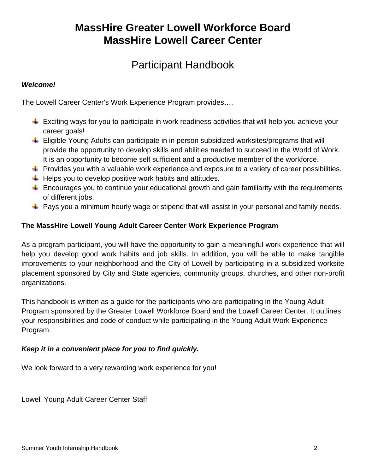# **MassHire Greater Lowell Workforce Board MassHire Lowell Career Center**

## Participant Handbook

### *Welcome!*

The Lowell Career Center's Work Experience Program provides….

- $\ddot{\phantom{1}}$  Exciting ways for you to participate in work readiness activities that will help you achieve your career goals!
- ↓ Eligible Young Adults can participate in in person subsidized worksites/programs that will provide the opportunity to develop skills and abilities needed to succeed in the World of Work. It is an opportunity to become self sufficient and a productive member of the workforce.
- $\ddot{\phantom{1}}$  Provides you with a valuable work experience and exposure to a variety of career possibilities.
- $\downarrow$  Helps you to develop positive work habits and attitudes.
- $\ddot{\phantom{1}}$  Encourages you to continue your educational growth and gain familiarity with the requirements of different jobs.
- $\ddot{+}$  Pays you a minimum hourly wage or stipend that will assist in your personal and family needs.

### **The MassHire Lowell Young Adult Career Center Work Experience Program**

As a program participant, you will have the opportunity to gain a meaningful work experience that will help you develop good work habits and job skills. In addition, you will be able to make tangible improvements to your neighborhood and the City of Lowell by participating in a subsidized worksite placement sponsored by City and State agencies, community groups, churches, and other non-profit organizations.

This handbook is written as a guide for the participants who are participating in the Young Adult Program sponsored by the Greater Lowell Workforce Board and the Lowell Career Center. It outlines your responsibilities and code of conduct while participating in the Young Adult Work Experience Program.

### *Keep it in a convenient place for you to find quickly.*

We look forward to a very rewarding work experience for you!

Lowell Young Adult Career Center Staff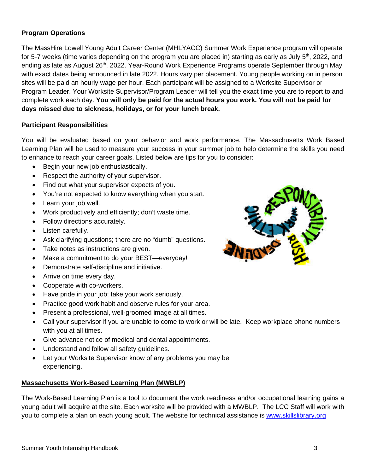### **Program Operations**

The MassHire Lowell Young Adult Career Center (MHLYACC) Summer Work Experience program will operate for 5-7 weeks (time varies depending on the program you are placed in) starting as early as July  $5<sup>th</sup>$ , 2022, and ending as late as August 26<sup>th</sup>, 2022. Year-Round Work Experience Programs operate September through May with exact dates being announced in late 2022. Hours vary per placement. Young people working on in person sites will be paid an hourly wage per hour. Each participant will be assigned to a Worksite Supervisor or Program Leader. Your Worksite Supervisor/Program Leader will tell you the exact time you are to report to and complete work each day. **You will only be paid for the actual hours you work. You will not be paid for days missed due to sickness, holidays, or for your lunch break.**

#### **Participant Responsibilities**

You will be evaluated based on your behavior and work performance. The Massachusetts Work Based Learning Plan will be used to measure your success in your summer job to help determine the skills you need to enhance to reach your career goals. Listed below are tips for you to consider:

- Begin your new job enthusiastically.
- Respect the authority of your supervisor.
- Find out what your supervisor expects of you.
- You're not expected to know everything when you start.
- Learn your job well.
- Work productively and efficiently; don't waste time.
- Follow directions accurately.
- Listen carefully.
- Ask clarifying questions; there are no "dumb" questions.
- Take notes as instructions are given.
- Make a commitment to do your BEST—everyday!
- Demonstrate self-discipline and initiative.
- Arrive on time every day.
- Cooperate with co-workers.
- Have pride in your job; take your work seriously.
- Practice good work habit and observe rules for your area.
- Present a professional, well-groomed image at all times.
- Call your supervisor if you are unable to come to work or will be late. Keep workplace phone numbers with you at all times.
- Give advance notice of medical and dental appointments.
- Understand and follow all safety guidelines.
- Let your Worksite Supervisor know of any problems you may be experiencing.

#### **Massachusetts Work-Based Learning Plan (MWBLP)**

The Work-Based Learning Plan is a tool to document the work readiness and/or occupational learning gains a young adult will acquire at the site. Each worksite will be provided with a MWBLP. The LCC Staff will work with you to complete a plan on each young adult. The website for technical assistance is [www.skillslibrary.org](http://www.skillslibrary.org/)

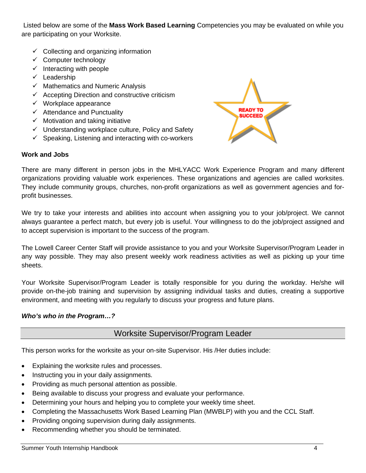Listed below are some of the **Mass Work Based Learning** Competencies you may be evaluated on while you are participating on your Worksite.

- $\checkmark$  Collecting and organizing information
- $\checkmark$  Computer technology
- $\checkmark$  Interacting with people
- $\checkmark$  Leadership
- $\checkmark$  Mathematics and Numeric Analysis
- $\checkmark$  Accepting Direction and constructive criticism
- $\checkmark$  Workplace appearance
- $\checkmark$  Attendance and Punctuality
- $\checkmark$  Motivation and taking initiative
- $\checkmark$  Understanding workplace culture, Policy and Safety
- $\checkmark$  Speaking, Listening and interacting with co-workers



### **Work and Jobs**

There are many different in person jobs in the MHLYACC Work Experience Program and many different organizations providing valuable work experiences. These organizations and agencies are called worksites. They include community groups, churches, non-profit organizations as well as government agencies and forprofit businesses.

We try to take your interests and abilities into account when assigning you to your job/project. We cannot always guarantee a perfect match, but every job is useful. Your willingness to do the job/project assigned and to accept supervision is important to the success of the program.

The Lowell Career Center Staff will provide assistance to you and your Worksite Supervisor/Program Leader in any way possible. They may also present weekly work readiness activities as well as picking up your time sheets.

Your Worksite Supervisor/Program Leader is totally responsible for you during the workday. He/she will provide on-the-job training and supervision by assigning individual tasks and duties, creating a supportive environment, and meeting with you regularly to discuss your progress and future plans.

### *Who's who in the Program…?*

### Worksite Supervisor/Program Leader

This person works for the worksite as your on-site Supervisor. His /Her duties include:

- Explaining the worksite rules and processes.
- Instructing you in your daily assignments.
- Providing as much personal attention as possible.
- Being available to discuss your progress and evaluate your performance.
- Determining your hours and helping you to complete your weekly time sheet.
- Completing the Massachusetts Work Based Learning Plan (MWBLP) with you and the CCL Staff.
- Providing ongoing supervision during daily assignments.
- Recommending whether you should be terminated.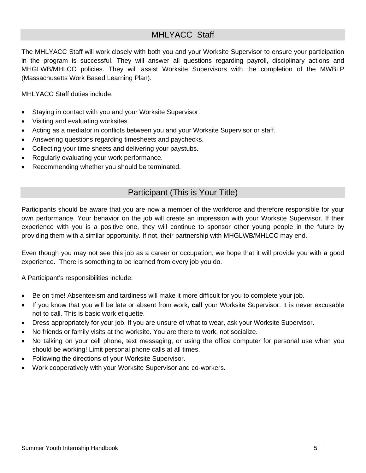### MHLYACC Staff

The MHLYACC Staff will work closely with both you and your Worksite Supervisor to ensure your participation in the program is successful. They will answer all questions regarding payroll, disciplinary actions and MHGLWB/MHLCC policies. They will assist Worksite Supervisors with the completion of the MWBLP (Massachusetts Work Based Learning Plan).

MHLYACC Staff duties include:

- Staying in contact with you and your Worksite Supervisor.
- Visiting and evaluating worksites.
- Acting as a mediator in conflicts between you and your Worksite Supervisor or staff.
- Answering questions regarding timesheets and paychecks.
- Collecting your time sheets and delivering your paystubs.
- Regularly evaluating your work performance.
- Recommending whether you should be terminated.

### Participant (This is Your Title)

Participants should be aware that you are now a member of the workforce and therefore responsible for your own performance. Your behavior on the job will create an impression with your Worksite Supervisor. If their experience with you is a positive one, they will continue to sponsor other young people in the future by providing them with a similar opportunity. If not, their partnership with MHGLWB/MHLCC may end.

Even though you may not see this job as a career or occupation, we hope that it will provide you with a good experience. There is something to be learned from every job you do.

A Participant's responsibilities include:

- Be on time! Absenteeism and tardiness will make it more difficult for you to complete your job.
- If you know that you will be late or absent from work, **call** your Worksite Supervisor. It is never excusable not to call. This is basic work etiquette.
- Dress appropriately for your job. If you are unsure of what to wear, ask your Worksite Supervisor.
- No friends or family visits at the worksite. You are there to work, not socialize.
- No talking on your cell phone, text messaging, or using the office computer for personal use when you should be working! Limit personal phone calls at all times.
- Following the directions of your Worksite Supervisor.
- Work cooperatively with your Worksite Supervisor and co-workers.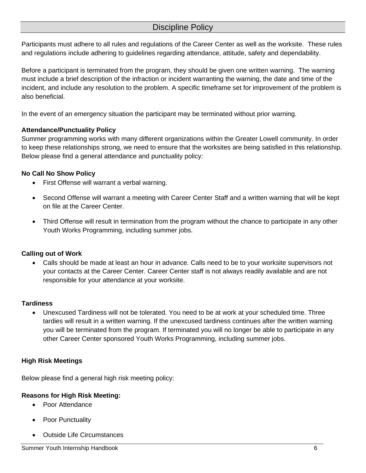### Discipline Policy

Participants must adhere to all rules and regulations of the Career Center as well as the worksite. These rules and regulations include adhering to guidelines regarding attendance, attitude, safety and dependability.

Before a participant is terminated from the program, they should be given one written warning. The warning must include a brief description of the infraction or incident warranting the warning, the date and time of the incident, and include any resolution to the problem. A specific timeframe set for improvement of the problem is also beneficial.

In the event of an emergency situation the participant may be terminated without prior warning.

#### **Attendance/Punctuality Policy**

Summer programming works with many different organizations within the Greater Lowell community. In order to keep these relationships strong, we need to ensure that the worksites are being satisfied in this relationship. Below please find a general attendance and punctuality policy:

#### **No Call No Show Policy**

- First Offense will warrant a verbal warning.
- Second Offense will warrant a meeting with Career Center Staff and a written warning that will be kept on file at the Career Center.
- Third Offense will result in termination from the program without the chance to participate in any other Youth Works Programming, including summer jobs.

### **Calling out of Work**

• Calls should be made at least an hour in advance. Calls need to be to your worksite supervisors not your contacts at the Career Center. Career Center staff is not always readily available and are not responsible for your attendance at your worksite.

#### **Tardiness**

• Unexcused Tardiness will not be tolerated. You need to be at work at your scheduled time. Three tardies will result in a written warning. If the unexcused tardiness continues after the written warning you will be terminated from the program. If terminated you will no longer be able to participate in any other Career Center sponsored Youth Works Programming, including summer jobs.

### **High Risk Meetings**

Below please find a general high risk meeting policy:

### **Reasons for High Risk Meeting:**

- Poor Attendance
- Poor Punctuality
- Outside Life Circumstances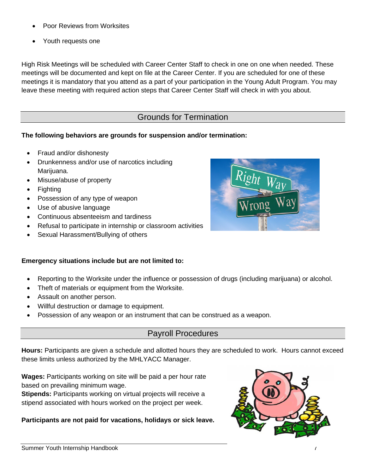### **Participants are not paid for vacations, holidays or sick leave.**

- Poor Reviews from Worksites
- Youth requests one

High Risk Meetings will be scheduled with Career Center Staff to check in one on one when needed. These meetings will be documented and kept on file at the Career Center. If you are scheduled for one of these meetings it is mandatory that you attend as a part of your participation in the Young Adult Program. You may leave these meeting with required action steps that Career Center Staff will check in with you about.

### Grounds for Termination

### **The following behaviors are grounds for suspension and/or termination:**

- Fraud and/or dishonesty
- Drunkenness and/or use of narcotics including Marijuana.
- Misuse/abuse of property
- Fighting
- Possession of any type of weapon
- Use of abusive language
- Continuous absenteeism and tardiness
- Refusal to participate in internship or classroom activities
- Sexual Harassment/Bullying of others

### **Emergency situations include but are not limited to:**

- Reporting to the Worksite under the influence or possession of drugs (including marijuana) or alcohol.
- Theft of materials or equipment from the Worksite.
- Assault on another person.
- Willful destruction or damage to equipment.
- Possession of any weapon or an instrument that can be construed as a weapon.

### Payroll Procedures

**Hours:** Participants are given a schedule and allotted hours they are scheduled to work. Hours cannot exceed these limits unless authorized by the MHLYACC Manager.

**Wages:** Participants working on site will be paid a per hour rate based on prevailing minimum wage.

**Stipends:** Participants working on virtual projects will receive a stipend associated with hours worked on the project per week.



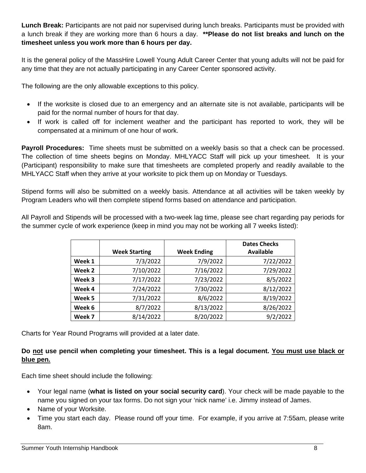**Lunch Break:** Participants are not paid nor supervised during lunch breaks. Participants must be provided with a lunch break if they are working more than 6 hours a day. **\*\*Please do not list breaks and lunch on the timesheet unless you work more than 6 hours per day.**

It is the general policy of the MassHire Lowell Young Adult Career Center that young adults will not be paid for any time that they are not actually participating in any Career Center sponsored activity.

The following are the only allowable exceptions to this policy.

- If the worksite is closed due to an emergency and an alternate site is not available, participants will be paid for the normal number of hours for that day.
- If work is called off for inclement weather and the participant has reported to work, they will be compensated at a minimum of one hour of work.

**Payroll Procedures:** Time sheets must be submitted on a weekly basis so that a check can be processed. The collection of time sheets begins on Monday. MHLYACC Staff will pick up your timesheet. It is your (Participant) responsibility to make sure that timesheets are completed properly and readily available to the MHLYACC Staff when they arrive at your worksite to pick them up on Monday or Tuesdays.

Stipend forms will also be submitted on a weekly basis. Attendance at all activities will be taken weekly by Program Leaders who will then complete stipend forms based on attendance and participation.

All Payroll and Stipends will be processed with a two-week lag time, please see chart regarding pay periods for the summer cycle of work experience (keep in mind you may not be working all 7 weeks listed):

|        |                      |                    | <b>Dates Checks</b> |
|--------|----------------------|--------------------|---------------------|
|        | <b>Week Starting</b> | <b>Week Ending</b> | <b>Available</b>    |
| Week 1 | 7/3/2022             | 7/9/2022           | 7/22/2022           |
| Week 2 | 7/10/2022            | 7/16/2022          | 7/29/2022           |
| Week 3 | 7/17/2022            | 7/23/2022          | 8/5/2022            |
| Week 4 | 7/24/2022            | 7/30/2022          | 8/12/2022           |
| Week 5 | 7/31/2022            | 8/6/2022           | 8/19/2022           |
| Week 6 | 8/7/2022             | 8/13/2022          | 8/26/2022           |
| Week 7 | 8/14/2022            | 8/20/2022          | 9/2/2022            |

Charts for Year Round Programs will provided at a later date.

### **Do not use pencil when completing your timesheet. This is a legal document. You must use black or blue pen.**

Each time sheet should include the following:

- Your legal name (**what is listed on your social security card**). Your check will be made payable to the name you signed on your tax forms. Do not sign your 'nick name' i.e. Jimmy instead of James.
- Name of your Worksite.
- Time you start each day. Please round off your time. For example, if you arrive at 7:55am, please write 8am.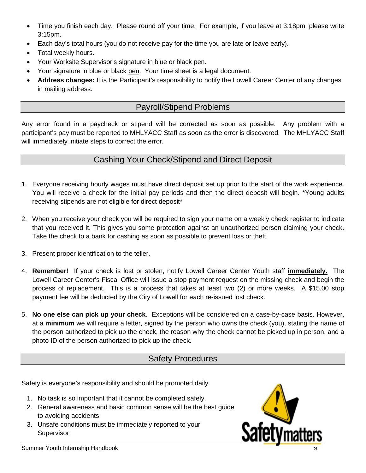- Time you finish each day. Please round off your time. For example, if you leave at 3:18pm, please write 3:15pm.
- Each day's total hours (you do not receive pay for the time you are late or leave early).
- Total weekly hours.
- Your Worksite Supervisor's signature in blue or black pen.
- Your signature in blue or black pen. Your time sheet is a legal document.
- **Address changes:** It is the Participant's responsibility to notify the Lowell Career Center of any changes in mailing address.

### Payroll/Stipend Problems

Any error found in a paycheck or stipend will be corrected as soon as possible. Any problem with a participant's pay must be reported to MHLYACC Staff as soon as the error is discovered. The MHLYACC Staff will immediately initiate steps to correct the error.

### Cashing Your Check/Stipend and Direct Deposit

- 1. Everyone receiving hourly wages must have direct deposit set up prior to the start of the work experience. You will receive a check for the initial pay periods and then the direct deposit will begin. \*Young adults receiving stipends are not eligible for direct deposit\*
- 2. When you receive your check you will be required to sign your name on a weekly check register to indicate that you received it. This gives you some protection against an unauthorized person claiming your check. Take the check to a bank for cashing as soon as possible to prevent loss or theft.
- 3. Present proper identification to the teller.
- 4. **Remember!** If your check is lost or stolen, notify Lowell Career Center Youth staff **immediately.** The Lowell Career Center's Fiscal Office will issue a stop payment request on the missing check and begin the process of replacement. This is a process that takes at least two (2) or more weeks. A \$15.00 stop payment fee will be deducted by the City of Lowell for each re-issued lost check.
- 5. **No one else can pick up your check**. Exceptions will be considered on a case-by-case basis. However, at a **minimum** we will require a letter, signed by the person who owns the check (you), stating the name of the person authorized to pick up the check, the reason why the check cannot be picked up in person, and a photo ID of the person authorized to pick up the check.

### Safety Procedures

Safety is everyone's responsibility and should be promoted daily.

- 1. No task is so important that it cannot be completed safely.
- 2. General awareness and basic common sense will be the best guide to avoiding accidents.
- 3. Unsafe conditions must be immediately reported to your Supervisor.

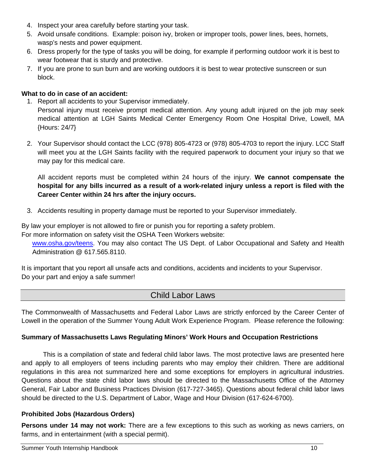- 4. Inspect your area carefully before starting your task.
- 5. Avoid unsafe conditions. Example: poison ivy, broken or improper tools, power lines, bees, hornets, wasp's nests and power equipment.
- 6. Dress properly for the type of tasks you will be doing, for example if performing outdoor work it is best to wear footwear that is sturdy and protective.
- 7. If you are prone to sun burn and are working outdoors it is best to wear protective sunscreen or sun block.

### **What to do in case of an accident:**

1. Report all accidents to your Supervisor immediately.

Personal injury must receive prompt medical attention. Any young adult injured on the job may seek medical attention at LGH Saints Medical Center Emergency Room One Hospital Drive, Lowell, MA {Hours: 24/7}

2. Your Supervisor should contact the LCC (978) 805-4723 or (978) 805-4703 to report the injury. LCC Staff will meet you at the LGH Saints facility with the required paperwork to document your injury so that we may pay for this medical care.

All accident reports must be completed within 24 hours of the injury. **We cannot compensate the hospital for any bills incurred as a result of a work-related injury unless a report is filed with the Career Center within 24 hrs after the injury occurs.**

3. Accidents resulting in property damage must be reported to your Supervisor immediately.

By law your employer is not allowed to fire or punish you for reporting a safety problem.

For more information on safety visit the OSHA Teen Workers website:

[www.osha.gov/teens.](http://www.osha.gov/teens) You may also contact The US Dept. of Labor Occupational and Safety and Health Administration @ 617.565.8110.

It is important that you report all unsafe acts and conditions, accidents and incidents to your Supervisor. Do your part and enjoy a safe summer!

### Child Labor Laws

The Commonwealth of Massachusetts and Federal Labor Laws are strictly enforced by the Career Center of Lowell in the operation of the Summer Young Adult Work Experience Program. Please reference the following:

### **Summary of Massachusetts Laws Regulating Minors' Work Hours and Occupation Restrictions**

This is a compilation of state and federal child labor laws. The most protective laws are presented here and apply to all employers of teens including parents who may employ their children. There are additional regulations in this area not summarized here and some exceptions for employers in agricultural industries. Questions about the state child labor laws should be directed to the Massachusetts Office of the Attorney General, Fair Labor and Business Practices Division (617-727-3465). Questions about federal child labor laws should be directed to the U.S. Department of Labor, Wage and Hour Division (617-624-6700).

### **Prohibited Jobs (Hazardous Orders)**

**Persons under 14 may not work:** There are a few exceptions to this such as working as news carriers, on farms, and in entertainment (with a special permit).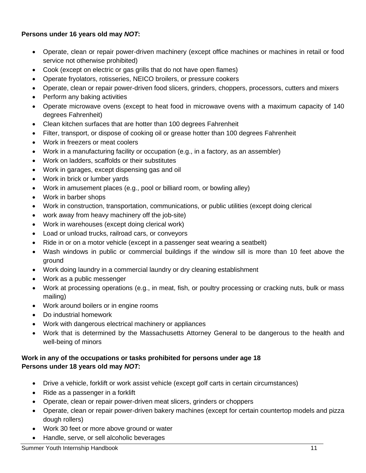### **Persons under 16 years old may** *NOT***:**

- Operate, clean or repair power-driven machinery (except office machines or machines in retail or food service not otherwise prohibited)
- Cook (except on electric or gas grills that do not have open flames)
- Operate fryolators, rotisseries, NEICO broilers, or pressure cookers
- Operate, clean or repair power-driven food slicers, grinders, choppers, processors, cutters and mixers
- Perform any baking activities
- Operate microwave ovens (except to heat food in microwave ovens with a maximum capacity of 140 degrees Fahrenheit)
- Clean kitchen surfaces that are hotter than 100 degrees Fahrenheit
- Filter, transport, or dispose of cooking oil or grease hotter than 100 degrees Fahrenheit
- Work in freezers or meat coolers
- Work in a manufacturing facility or occupation (e.g., in a factory, as an assembler)
- Work on ladders, scaffolds or their substitutes
- Work in garages, except dispensing gas and oil
- Work in brick or lumber yards
- Work in amusement places (e.g., pool or billiard room, or bowling alley)
- Work in barber shops
- Work in construction, transportation, communications, or public utilities (except doing clerical
- work away from heavy machinery off the job-site)
- Work in warehouses (except doing clerical work)
- Load or unload trucks, railroad cars, or conveyors
- Ride in or on a motor vehicle (except in a passenger seat wearing a seatbelt)
- Wash windows in public or commercial buildings if the window sill is more than 10 feet above the ground
- Work doing laundry in a commercial laundry or dry cleaning establishment
- Work as a public messenger
- Work at processing operations (e.g., in meat, fish, or poultry processing or cracking nuts, bulk or mass mailing)
- Work around boilers or in engine rooms
- Do industrial homework
- Work with dangerous electrical machinery or appliances
- Work that is determined by the Massachusetts Attorney General to be dangerous to the health and well-being of minors

### **Work in any of the occupations or tasks prohibited for persons under age 18 Persons under 18 years old may** *NOT***:**

- Drive a vehicle, forklift or work assist vehicle (except golf carts in certain circumstances)
- Ride as a passenger in a forklift
- Operate, clean or repair power-driven meat slicers, grinders or choppers
- Operate, clean or repair power-driven bakery machines (except for certain countertop models and pizza dough rollers)
- Work 30 feet or more above ground or water
- Handle, serve, or sell alcoholic beverages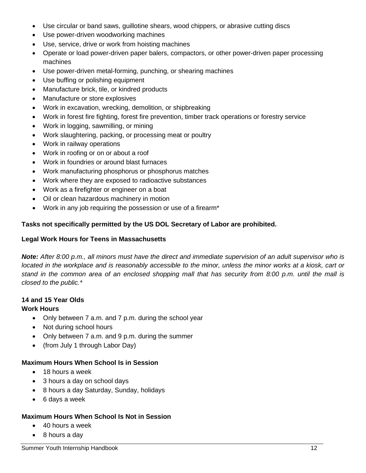- Use circular or band saws, guillotine shears, wood chippers, or abrasive cutting discs
- Use power-driven woodworking machines
- Use, service, drive or work from hoisting machines
- Operate or load power-driven paper balers, compactors, or other power-driven paper processing machines
- Use power-driven metal-forming, punching, or shearing machines
- Use buffing or polishing equipment
- Manufacture brick, tile, or kindred products
- Manufacture or store explosives
- Work in excavation, wrecking, demolition, or shipbreaking
- Work in forest fire fighting, forest fire prevention, timber track operations or forestry service
- Work in logging, sawmilling, or mining
- Work slaughtering, packing, or processing meat or poultry
- Work in railway operations
- Work in roofing or on or about a roof
- Work in foundries or around blast furnaces
- Work manufacturing phosphorus or phosphorus matches
- Work where they are exposed to radioactive substances
- Work as a firefighter or engineer on a boat
- Oil or clean hazardous machinery in motion
- Work in any job requiring the possession or use of a firearm\*

#### **Tasks not specifically permitted by the US DOL Secretary of Labor are prohibited.**

#### **Legal Work Hours for Teens in Massachusetts**

*Note: After 8:00 p.m., all minors must have the direct and immediate supervision of an adult supervisor who is located in the workplace and is reasonably accessible to the minor, unless the minor works at a kiosk, cart or stand in the common area of an enclosed shopping mall that has security from 8:00 p.m. until the mall is closed to the public.\** 

#### **14 and 15 Year Olds Work Hours**

- Only between 7 a.m. and 7 p.m. during the school year
- Not during school hours
- Only between 7 a.m. and 9 p.m. during the summer
- (from July 1 through Labor Day)

#### **Maximum Hours When School Is in Session**

- 18 hours a week
- 3 hours a day on school days
- 8 hours a day Saturday, Sunday, holidays
- 6 days a week

#### **Maximum Hours When School Is Not in Session**

- 40 hours a week
- 8 hours a day